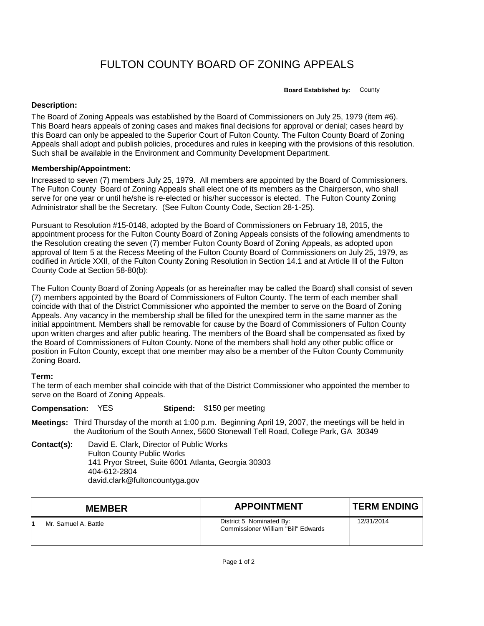# FULTON COUNTY BOARD OF ZONING APPEALS

**Board Established by:** County

## **Description:**

The Board of Zoning Appeals was established by the Board of Commissioners on July 25, 1979 (item #6). This Board hears appeals of zoning cases and makes final decisions for approval or denial; cases heard by this Board can only be appealed to the Superior Court of Fulton County. The Fulton County Board of Zoning Appeals shall adopt and publish policies, procedures and rules in keeping with the provisions of this resolution. Such shall be available in the Environment and Community Development Department.

### **Membership/Appointment:**

Increased to seven (7) members July 25, 1979. All members are appointed by the Board of Commissioners. The Fulton County Board of Zoning Appeals shall elect one of its members as the Chairperson, who shall serve for one year or until he/she is re-elected or his/her successor is elected. The Fulton County Zoning Administrator shall be the Secretary. (See Fulton County Code, Section 28-1-25).

Pursuant to Resolution #15-0148, adopted by the Board of Commissioners on February 18, 2015, the appointment process for the Fulton County Board of Zoning Appeals consists of the following amendments to the Resolution creating the seven (7) member Fulton County Board of Zoning Appeals, as adopted upon approval of Item 5 at the Recess Meeting of the Fulton County Board of Commissioners on July 25, 1979, as codified in Article XXII, of the Fulton County Zoning Resolution in Section 14.1 and at Article Ill of the Fulton County Code at Section 58-80(b):

The Fulton County Board of Zoning Appeals (or as hereinafter may be called the Board) shall consist of seven (7) members appointed by the Board of Commissioners of Fulton County. The term of each member shall coincide with that of the District Commissioner who appointed the member to serve on the Board of Zoning Appeals. Any vacancy in the membership shall be filled for the unexpired term in the same manner as the initial appointment. Members shall be removable for cause by the Board of Commissioners of Fulton County upon written charges and after public hearing. The members of the Board shall be compensated as fixed by the Board of Commissioners of Fulton County. None of the members shall hold any other public office or position in Fulton County, except that one member may also be a member of the Fulton County Community Zoning Board.

# **Term:**

The term of each member shall coincide with that of the District Commissioner who appointed the member to serve on the Board of Zoning Appeals.

#### **Compensation:** YES **Stipend:** \$150 per meeting

**Meetings:** Third Thursday of the month at 1:00 p.m. Beginning April 19, 2007, the meetings will be held in the Auditorium of the South Annex, 5600 Stonewall Tell Road, College Park, GA 30349

**Contact(s):** David E. Clark, Director of Public Works Fulton County Public Works 141 Pryor Street, Suite 6001 Atlanta, Georgia 30303 404-612-2804 david.clark@fultoncountyga.gov

| <b>MEMBER</b>        | <b>APPOINTMENT</b>                                              | <b>TERM ENDING</b> |
|----------------------|-----------------------------------------------------------------|--------------------|
| Mr. Samuel A. Battle | District 5 Nominated By:<br>Commissioner William "Bill" Edwards | 12/31/2014         |